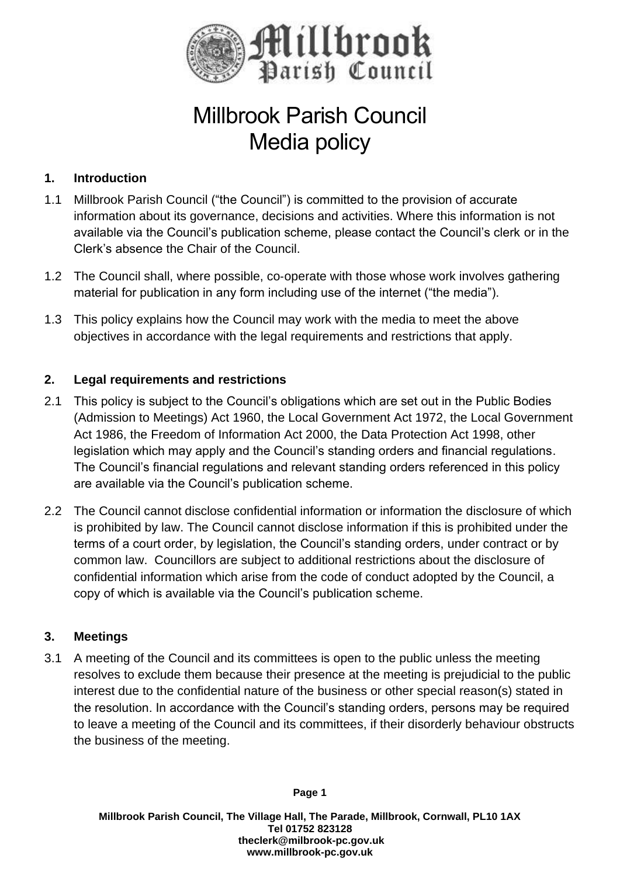

# Millbrook Parish Council Media policy

# **1. Introduction**

- 1.1 Millbrook Parish Council ("the Council") is committed to the provision of accurate information about its governance, decisions and activities. Where this information is not available via the Council's publication scheme, please contact the Council's clerk or in the Clerk's absence the Chair of the Council.
- 1.2 The Council shall, where possible, co-operate with those whose work involves gathering material for publication in any form including use of the internet ("the media").
- 1.3 This policy explains how the Council may work with the media to meet the above objectives in accordance with the legal requirements and restrictions that apply.

### **2. Legal requirements and restrictions**

- 2.1 This policy is subject to the Council's obligations which are set out in the Public Bodies (Admission to Meetings) Act 1960, the Local Government Act 1972, the Local Government Act 1986, the Freedom of Information Act 2000, the Data Protection Act 1998, other legislation which may apply and the Council's standing orders and financial regulations. The Council's financial regulations and relevant standing orders referenced in this policy are available via the Council's publication scheme.
- 2.2 The Council cannot disclose confidential information or information the disclosure of which is prohibited by law. The Council cannot disclose information if this is prohibited under the terms of a court order, by legislation, the Council's standing orders, under contract or by common law. Councillors are subject to additional restrictions about the disclosure of confidential information which arise from the code of conduct adopted by the Council, a copy of which is available via the Council's publication scheme.

### **3. Meetings**

3.1 A meeting of the Council and its committees is open to the public unless the meeting resolves to exclude them because their presence at the meeting is prejudicial to the public interest due to the confidential nature of the business or other special reason(s) stated in the resolution. In accordance with the Council's standing orders, persons may be required to leave a meeting of the Council and its committees, if their disorderly behaviour obstructs the business of the meeting.

**Page 1**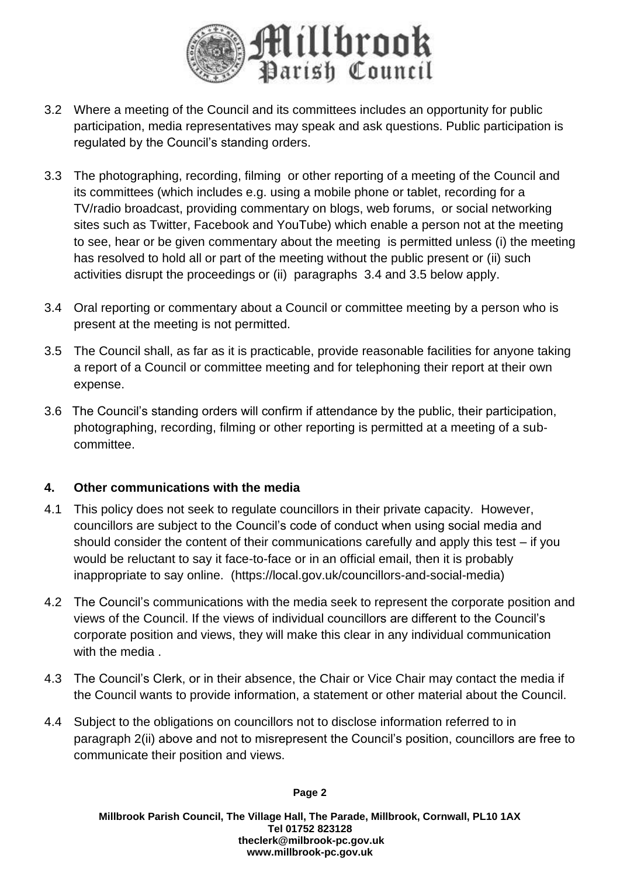

- 3.2 Where a meeting of the Council and its committees includes an opportunity for public participation, media representatives may speak and ask questions. Public participation is regulated by the Council's standing orders.
- 3.3 The photographing, recording, filming or other reporting of a meeting of the Council and its committees (which includes e.g. using a mobile phone or tablet, recording for a TV/radio broadcast, providing commentary on blogs, web forums, or social networking sites such as Twitter, Facebook and YouTube) which enable a person not at the meeting to see, hear or be given commentary about the meeting is permitted unless (i) the meeting has resolved to hold all or part of the meeting without the public present or (ii) such activities disrupt the proceedings or (ii) paragraphs 3.4 and 3.5 below apply.
- 3.4 Oral reporting or commentary about a Council or committee meeting by a person who is present at the meeting is not permitted.
- 3.5 The Council shall, as far as it is practicable, provide reasonable facilities for anyone taking a report of a Council or committee meeting and for telephoning their report at their own expense.
- 3.6 The Council's standing orders will confirm if attendance by the public, their participation, photographing, recording, filming or other reporting is permitted at a meeting of a sub‐ committee.

### **4. Other communications with the media**

- 4.1 This policy does not seek to regulate councillors in their private capacity. However, councillors are subject to the Council's code of conduct when using social media and should consider the content of their communications carefully and apply this test – if you would be reluctant to say it face-to-face or in an official email, then it is probably inappropriate to say online. (https://local.gov.uk/councillors-and-social-media)
- 4.2 The Council's communications with the media seek to represent the corporate position and views of the Council. If the views of individual councillors are different to the Council's corporate position and views, they will make this clear in any individual communication with the media.
- 4.3 The Council's Clerk, or in their absence, the Chair or Vice Chair may contact the media if the Council wants to provide information, a statement or other material about the Council.
- 4.4 Subject to the obligations on councillors not to disclose information referred to in paragraph 2(ii) above and not to misrepresent the Council's position, councillors are free to communicate their position and views.

#### **Page 2**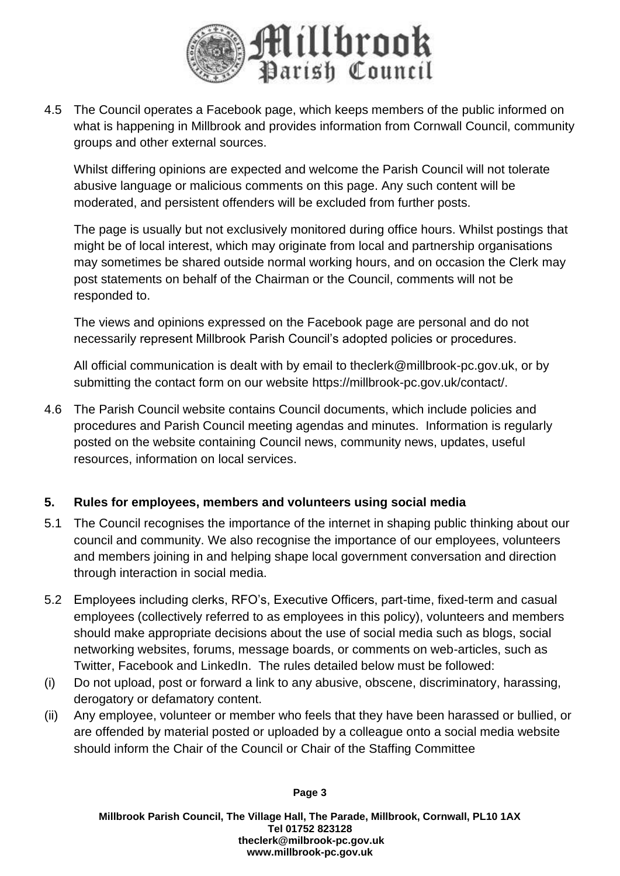

4.5 The Council operates a Facebook page, which keeps members of the public informed on what is happening in Millbrook and provides information from Cornwall Council, community groups and other external sources.

Whilst differing opinions are expected and welcome the Parish Council will not tolerate abusive language or malicious comments on this page. Any such content will be moderated, and persistent offenders will be excluded from further posts.

The page is usually but not exclusively monitored during office hours. Whilst postings that might be of local interest, which may originate from local and partnership organisations may sometimes be shared outside normal working hours, and on occasion the Clerk may post statements on behalf of the Chairman or the Council, comments will not be responded to.

The views and opinions expressed on the Facebook page are personal and do not necessarily represent Millbrook Parish Council's adopted policies or procedures.

All official communication is dealt with by email to theclerk@millbrook-pc.gov.uk, or by submitting the contact form on our website [https://millbrook-pc.gov.uk/contact/.](https://millbrook-pc.gov.uk/contact/?fbclid=IwAR10JStY1ZPNOnRVDuj5VEELn2kiZEXMxqEYXVYDJNdxxqM82iBuzjh9XLM)

4.6 The Parish Council website contains Council documents, which include policies and procedures and Parish Council meeting agendas and minutes. Information is regularly posted on the website containing Council news, community news, updates, useful resources, information on local services.

# **5. Rules for employees, members and volunteers using social media**

- 5.1 The Council recognises the importance of the internet in shaping public thinking about our council and community. We also recognise the importance of our employees, volunteers and members joining in and helping shape local government conversation and direction through interaction in social media.
- 5.2 Employees including clerks, RFO's, Executive Officers, part-time, fixed-term and casual employees (collectively referred to as employees in this policy), volunteers and members should make appropriate decisions about the use of social media such as blogs, social networking websites, forums, message boards, or comments on web-articles, such as Twitter, Facebook and LinkedIn. The rules detailed below must be followed:
- (i) Do not upload, post or forward a link to any abusive, obscene, discriminatory, harassing, derogatory or defamatory content.
- (ii) Any employee, volunteer or member who feels that they have been harassed or bullied, or are offended by material posted or uploaded by a colleague onto a social media website should inform the Chair of the Council or Chair of the Staffing Committee

**Page 3**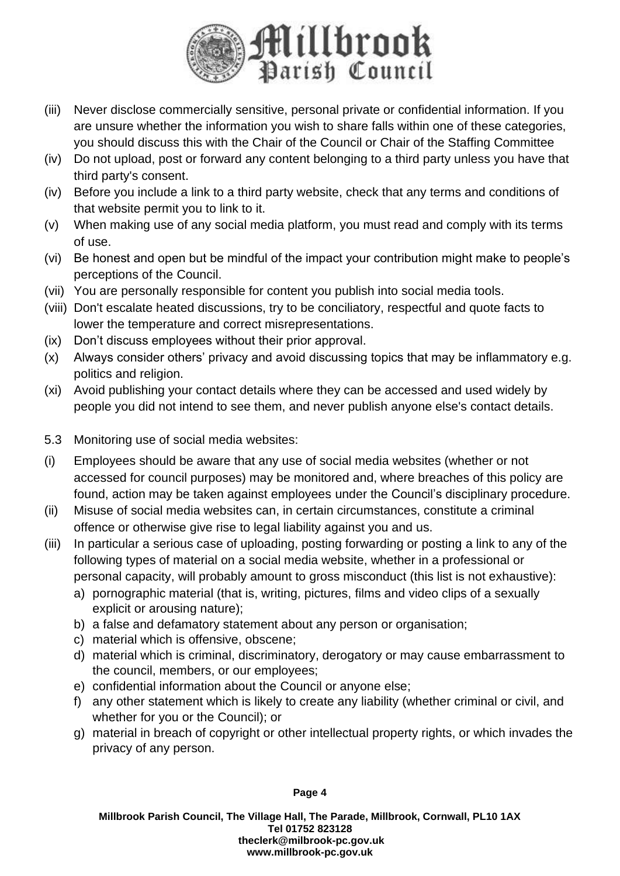

- (iii) Never disclose commercially sensitive, personal private or confidential information. If you are unsure whether the information you wish to share falls within one of these categories, you should discuss this with the Chair of the Council or Chair of the Staffing Committee
- (iv) Do not upload, post or forward any content belonging to a third party unless you have that third party's consent.
- (iv) Before you include a link to a third party website, check that any terms and conditions of that website permit you to link to it.
- (v) When making use of any social media platform, you must read and comply with its terms of use.
- (vi) Be honest and open but be mindful of the impact your contribution might make to people's perceptions of the Council.
- (vii) You are personally responsible for content you publish into social media tools.
- (viii) Don't escalate heated discussions, try to be conciliatory, respectful and quote facts to lower the temperature and correct misrepresentations.
- (ix) Don't discuss employees without their prior approval.
- (x) Always consider others' privacy and avoid discussing topics that may be inflammatory e.g. politics and religion.
- (xi) Avoid publishing your contact details where they can be accessed and used widely by people you did not intend to see them, and never publish anyone else's contact details.
- 5.3 Monitoring use of social media websites:
- (i) Employees should be aware that any use of social media websites (whether or not accessed for council purposes) may be monitored and, where breaches of this policy are found, action may be taken against employees under the Council's disciplinary procedure.
- (ii) Misuse of social media websites can, in certain circumstances, constitute a criminal offence or otherwise give rise to legal liability against you and us.
- (iii) In particular a serious case of uploading, posting forwarding or posting a link to any of the following types of material on a social media website, whether in a professional or personal capacity, will probably amount to gross misconduct (this list is not exhaustive):
	- a) pornographic material (that is, writing, pictures, films and video clips of a sexually explicit or arousing nature);
	- b) a false and defamatory statement about any person or organisation;
	- c) material which is offensive, obscene;
	- d) material which is criminal, discriminatory, derogatory or may cause embarrassment to the council, members, or our employees;
	- e) confidential information about the Council or anyone else;
	- f) any other statement which is likely to create any liability (whether criminal or civil, and whether for you or the Council); or
	- g) material in breach of copyright or other intellectual property rights, or which invades the privacy of any person.

**Page 4**